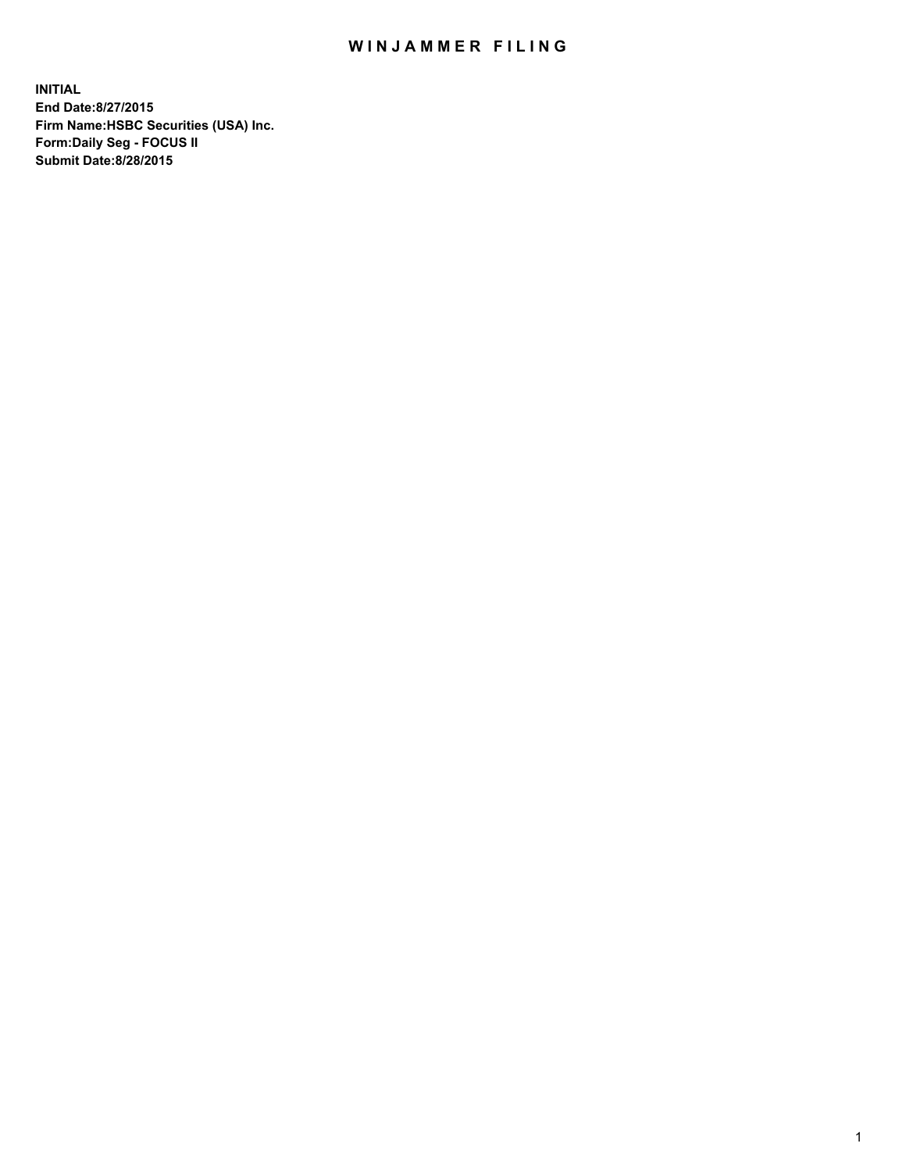## WIN JAMMER FILING

**INITIAL End Date:8/27/2015 Firm Name:HSBC Securities (USA) Inc. Form:Daily Seg - FOCUS II Submit Date:8/28/2015**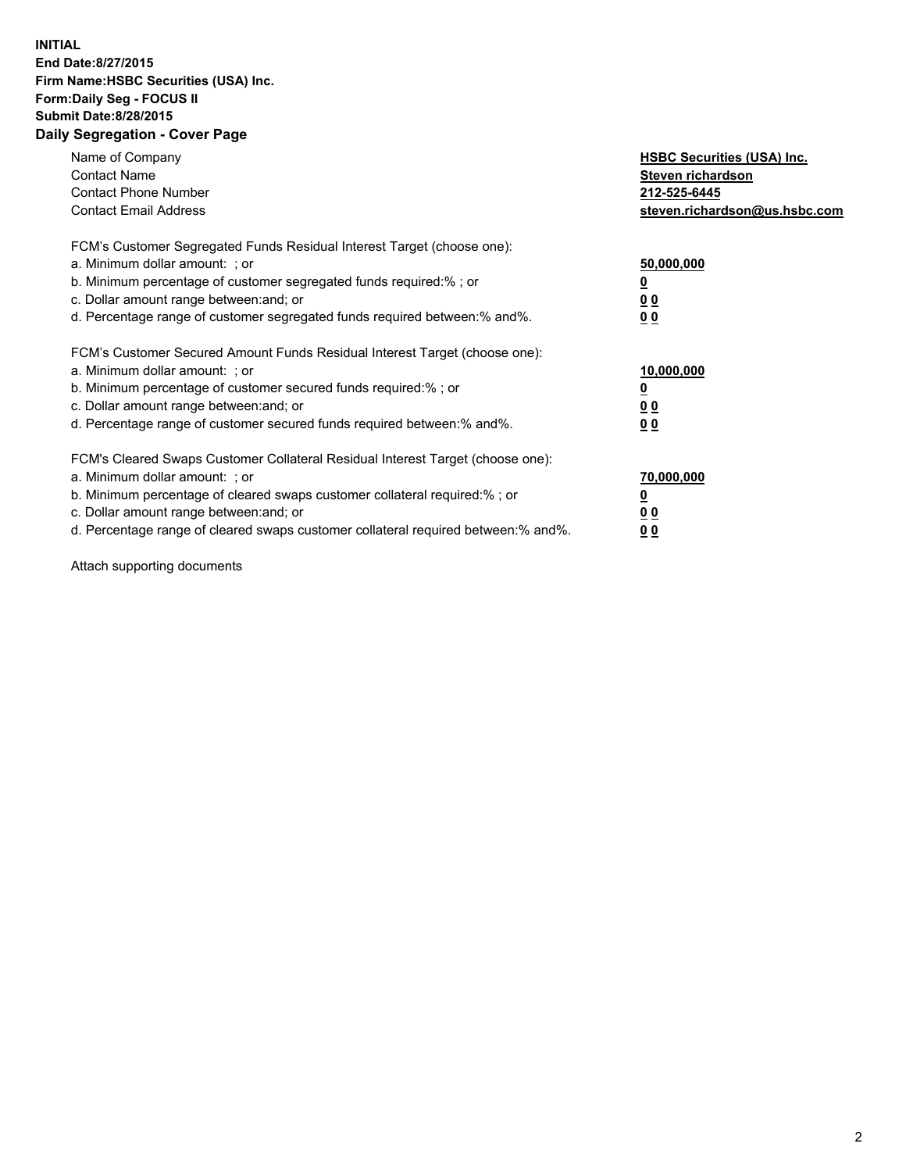## **INITIAL End Date:8/27/2015 Firm Name:HSBC Securities (USA) Inc. Form:Daily Seg - FOCUS II Submit Date:8/28/2015 Daily Segregation - Cover Page**

| Name of Company<br><b>Contact Name</b><br><b>Contact Phone Number</b><br><b>Contact Email Address</b>                                                                                                                                                                                                                          | <b>HSBC Securities (USA) Inc.</b><br>Steven richardson<br>212-525-6445<br>steven.richardson@us.hsbc.com |
|--------------------------------------------------------------------------------------------------------------------------------------------------------------------------------------------------------------------------------------------------------------------------------------------------------------------------------|---------------------------------------------------------------------------------------------------------|
| FCM's Customer Segregated Funds Residual Interest Target (choose one):<br>a. Minimum dollar amount: ; or<br>b. Minimum percentage of customer segregated funds required:%; or<br>c. Dollar amount range between: and; or<br>d. Percentage range of customer segregated funds required between: % and %.                        | 50,000,000<br>0 <sub>0</sub><br>0 <sub>0</sub>                                                          |
| FCM's Customer Secured Amount Funds Residual Interest Target (choose one):<br>a. Minimum dollar amount: ; or<br>b. Minimum percentage of customer secured funds required:%; or<br>c. Dollar amount range between: and; or<br>d. Percentage range of customer secured funds required between:% and%.                            | 10,000,000<br><u>0</u><br>0 <sub>0</sub><br>0 <sub>0</sub>                                              |
| FCM's Cleared Swaps Customer Collateral Residual Interest Target (choose one):<br>a. Minimum dollar amount: ; or<br>b. Minimum percentage of cleared swaps customer collateral required:% ; or<br>c. Dollar amount range between: and; or<br>d. Percentage range of cleared swaps customer collateral required between:% and%. | 70,000,000<br>00<br><u>00</u>                                                                           |

Attach supporting documents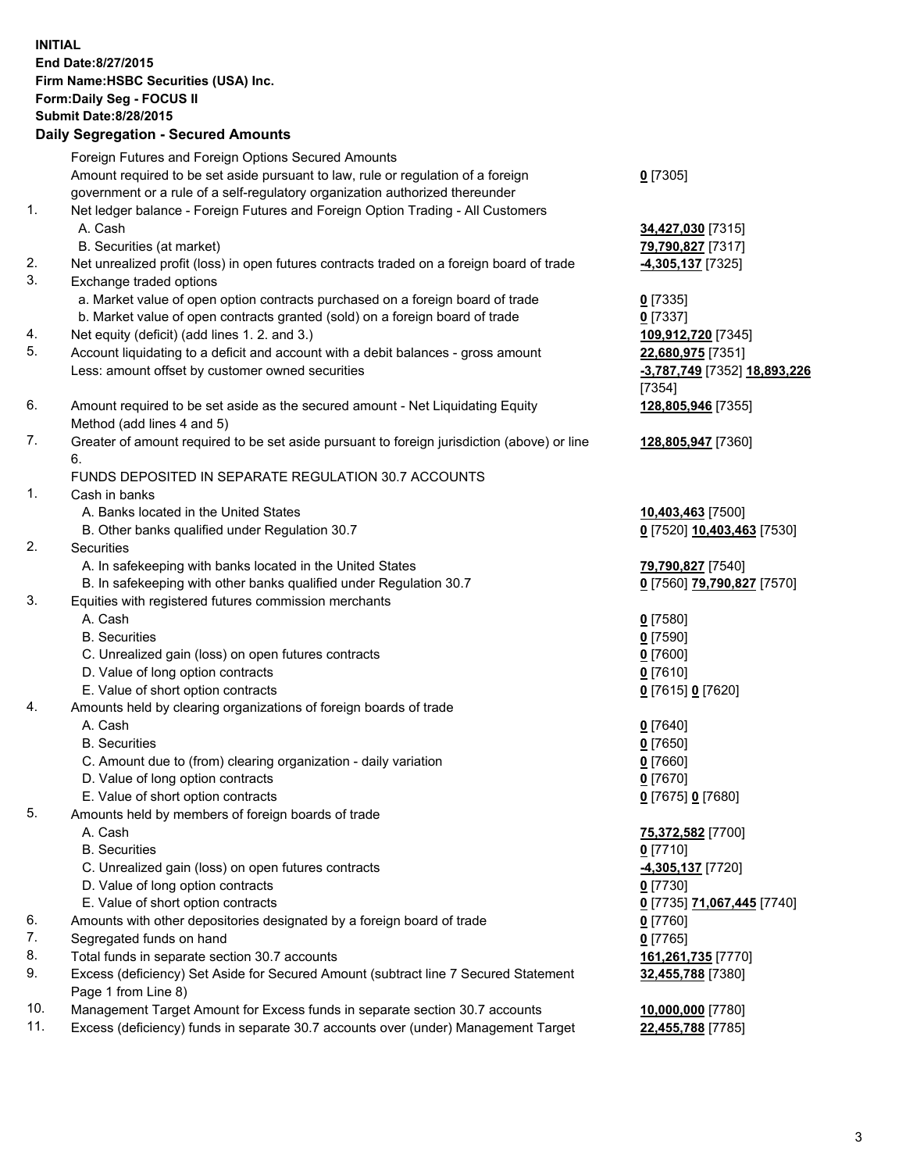**INITIAL End Date:8/27/2015 Firm Name:HSBC Securities (USA) Inc. Form:Daily Seg - FOCUS II Submit Date:8/28/2015 Daily Segregation - Secured Amounts** Foreign Futures and Foreign Options Secured Amounts Amount required to be set aside pursuant to law, rule or regulation of a foreign government or a rule of a self-regulatory organization authorized thereunder **0** [7305] 1. Net ledger balance - Foreign Futures and Foreign Option Trading - All Customers A. Cash **34,427,030** [7315] B. Securities (at market) **79,790,827** [7317] 2. Net unrealized profit (loss) in open futures contracts traded on a foreign board of trade **-4,305,137** [7325] 3. Exchange traded options a. Market value of open option contracts purchased on a foreign board of trade **0** [7335] b. Market value of open contracts granted (sold) on a foreign board of trade **0** [7337] 4. Net equity (deficit) (add lines 1. 2. and 3.) **109,912,720** [7345] 5. Account liquidating to a deficit and account with a debit balances - gross amount **22,680,975** [7351] Less: amount offset by customer owned securities **-3,787,749** [7352] **18,893,226** [7354] 6. Amount required to be set aside as the secured amount - Net Liquidating Equity Method (add lines 4 and 5) **128,805,946** [7355] 7. Greater of amount required to be set aside pursuant to foreign jurisdiction (above) or line 6. **128,805,947** [7360] FUNDS DEPOSITED IN SEPARATE REGULATION 30.7 ACCOUNTS 1. Cash in banks A. Banks located in the United States **10,403,463** [7500] B. Other banks qualified under Regulation 30.7 **0** [7520] **10,403,463** [7530] 2. Securities A. In safekeeping with banks located in the United States **79,790,827** [7540] B. In safekeeping with other banks qualified under Regulation 30.7 **0** [7560] **79,790,827** [7570] 3. Equities with registered futures commission merchants A. Cash **0** [7580] B. Securities **0** [7590] C. Unrealized gain (loss) on open futures contracts **0** [7600] D. Value of long option contracts **0** [7610] E. Value of short option contracts **0** [7615] **0** [7620] 4. Amounts held by clearing organizations of foreign boards of trade A. Cash **0** [7640] B. Securities **0** [7650] C. Amount due to (from) clearing organization - daily variation **0** [7660] D. Value of long option contracts **0** [7670] E. Value of short option contracts **0** [7675] **0** [7680] 5. Amounts held by members of foreign boards of trade A. Cash **75,372,582** [7700] B. Securities **0** [7710] C. Unrealized gain (loss) on open futures contracts **-4,305,137** [7720] D. Value of long option contracts **0** [7730] E. Value of short option contracts **0** [7735] **71,067,445** [7740] 6. Amounts with other depositories designated by a foreign board of trade **0** [7760] 7. Segregated funds on hand **0** [7765] 8. Total funds in separate section 30.7 accounts **161,261,735** [7770] 9. Excess (deficiency) Set Aside for Secured Amount (subtract line 7 Secured Statement Page 1 from Line 8) **32,455,788** [7380] 10. Management Target Amount for Excess funds in separate section 30.7 accounts **10,000,000** [7780]

11. Excess (deficiency) funds in separate 30.7 accounts over (under) Management Target **22,455,788** [7785]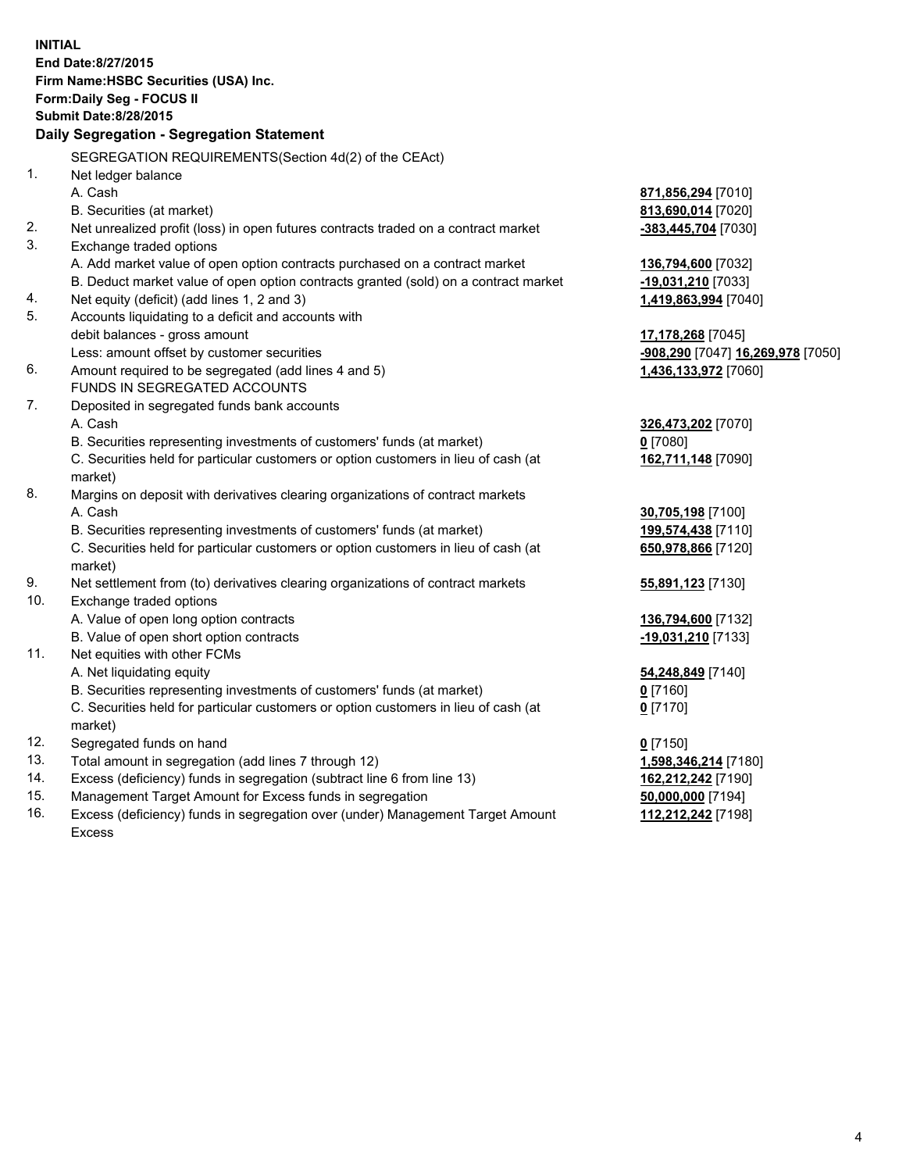| <b>INITIAL</b>                                                             |                                                                                                                                     |                                   |  |  |  |
|----------------------------------------------------------------------------|-------------------------------------------------------------------------------------------------------------------------------------|-----------------------------------|--|--|--|
| End Date: 8/27/2015                                                        |                                                                                                                                     |                                   |  |  |  |
| Firm Name: HSBC Securities (USA) Inc.                                      |                                                                                                                                     |                                   |  |  |  |
| Form: Daily Seg - FOCUS II                                                 |                                                                                                                                     |                                   |  |  |  |
| <b>Submit Date: 8/28/2015</b><br>Daily Segregation - Segregation Statement |                                                                                                                                     |                                   |  |  |  |
|                                                                            |                                                                                                                                     |                                   |  |  |  |
|                                                                            | SEGREGATION REQUIREMENTS(Section 4d(2) of the CEAct)                                                                                |                                   |  |  |  |
| 1.                                                                         | Net ledger balance                                                                                                                  |                                   |  |  |  |
|                                                                            | A. Cash                                                                                                                             | 871,856,294 [7010]                |  |  |  |
|                                                                            | B. Securities (at market)                                                                                                           | 813,690,014 [7020]                |  |  |  |
| 2.                                                                         | Net unrealized profit (loss) in open futures contracts traded on a contract market                                                  | -383,445,704 [7030]               |  |  |  |
| 3.                                                                         | Exchange traded options                                                                                                             |                                   |  |  |  |
|                                                                            | A. Add market value of open option contracts purchased on a contract market                                                         | 136,794,600 [7032]                |  |  |  |
| 4.                                                                         | B. Deduct market value of open option contracts granted (sold) on a contract market<br>Net equity (deficit) (add lines 1, 2 and 3)  | -19,031,210 [7033]                |  |  |  |
| 5.                                                                         | Accounts liquidating to a deficit and accounts with                                                                                 | 1,419,863,994 [7040]              |  |  |  |
|                                                                            | debit balances - gross amount                                                                                                       | 17,178,268 [7045]                 |  |  |  |
|                                                                            | Less: amount offset by customer securities                                                                                          | -908,290 [7047] 16,269,978 [7050] |  |  |  |
| 6.                                                                         | Amount required to be segregated (add lines 4 and 5)                                                                                | 1,436,133,972 [7060]              |  |  |  |
|                                                                            | FUNDS IN SEGREGATED ACCOUNTS                                                                                                        |                                   |  |  |  |
| 7.                                                                         | Deposited in segregated funds bank accounts                                                                                         |                                   |  |  |  |
|                                                                            | A. Cash                                                                                                                             | 326,473,202 [7070]                |  |  |  |
|                                                                            | B. Securities representing investments of customers' funds (at market)                                                              | $0$ [7080]                        |  |  |  |
|                                                                            | C. Securities held for particular customers or option customers in lieu of cash (at                                                 | 162,711,148 [7090]                |  |  |  |
|                                                                            | market)                                                                                                                             |                                   |  |  |  |
| 8.                                                                         | Margins on deposit with derivatives clearing organizations of contract markets                                                      |                                   |  |  |  |
|                                                                            | A. Cash                                                                                                                             | 30,705,198 [7100]                 |  |  |  |
|                                                                            | B. Securities representing investments of customers' funds (at market)                                                              | 199,574,438 [7110]                |  |  |  |
|                                                                            | C. Securities held for particular customers or option customers in lieu of cash (at                                                 | 650,978,866 [7120]                |  |  |  |
|                                                                            | market)                                                                                                                             |                                   |  |  |  |
| 9.                                                                         | Net settlement from (to) derivatives clearing organizations of contract markets                                                     | 55,891,123 [7130]                 |  |  |  |
| 10.                                                                        | Exchange traded options                                                                                                             |                                   |  |  |  |
|                                                                            | A. Value of open long option contracts                                                                                              | 136,794,600 [7132]                |  |  |  |
|                                                                            | B. Value of open short option contracts                                                                                             | -19,031,210 [7133]                |  |  |  |
| 11.                                                                        | Net equities with other FCMs                                                                                                        |                                   |  |  |  |
|                                                                            | A. Net liquidating equity                                                                                                           | 54,248,849 [7140]                 |  |  |  |
|                                                                            | B. Securities representing investments of customers' funds (at market)                                                              | 0 [7160]                          |  |  |  |
|                                                                            | C. Securities held for particular customers or option customers in lieu of cash (at                                                 | $0$ [7170]                        |  |  |  |
|                                                                            | market)                                                                                                                             |                                   |  |  |  |
| 12.<br>13.                                                                 | Segregated funds on hand                                                                                                            | $0$ [7150]                        |  |  |  |
| 14.                                                                        | Total amount in segregation (add lines 7 through 12)                                                                                | 1,598,346,214 [7180]              |  |  |  |
| 15.                                                                        | Excess (deficiency) funds in segregation (subtract line 6 from line 13)<br>Management Target Amount for Excess funds in segregation | 162,212,242 [7190]                |  |  |  |
| 16.                                                                        |                                                                                                                                     | 50,000,000 [7194]                 |  |  |  |
|                                                                            | Excess (deficiency) funds in segregation over (under) Management Target Amount                                                      | 112,212,242 [7198]                |  |  |  |

16. Excess (deficiency) funds in segregation over (under) Management Target Amount Excess